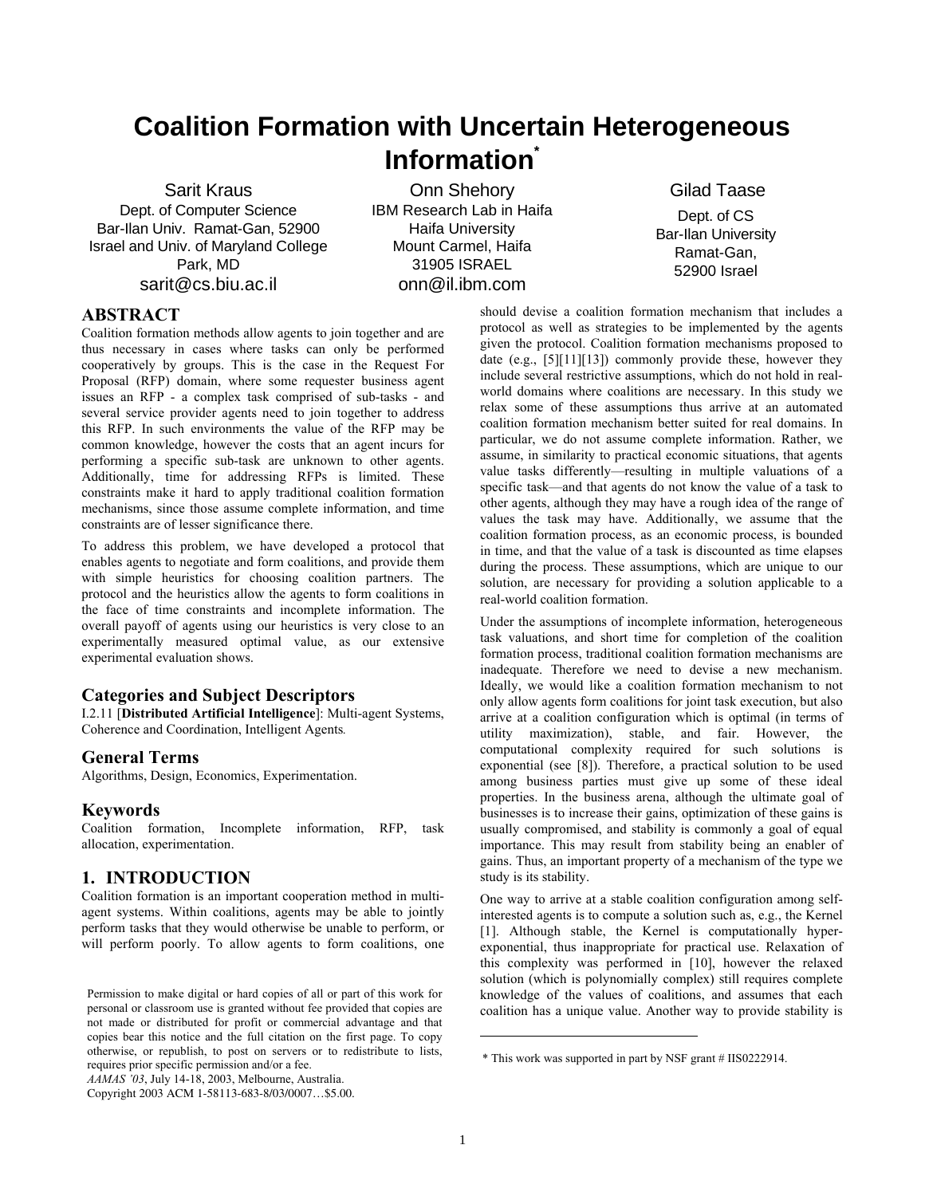# **Coalition Formation with Uncertain Heterogeneous Information\***

Sarit Kraus Dept. of Computer Science Bar-Ilan Univ. Ramat-Gan, 52900 Israel and Univ. of Maryland College Park, MD sarit@cs.biu.ac.il

Onn Shehory IBM Research Lab in Haifa Haifa University Mount Carmel, Haifa 31905 ISRAEL onn@il.ibm.com

Gilad Taase

Dept. of CS Bar-Ilan University Ramat-Gan, 52900 Israel

# **ABSTRACT**

Coalition formation methods allow agents to join together and are thus necessary in cases where tasks can only be performed cooperatively by groups. This is the case in the Request For Proposal (RFP) domain, where some requester business agent issues an RFP - a complex task comprised of sub-tasks - and several service provider agents need to join together to address this RFP. In such environments the value of the RFP may be common knowledge, however the costs that an agent incurs for performing a specific sub-task are unknown to other agents. Additionally, time for addressing RFPs is limited. These constraints make it hard to apply traditional coalition formation mechanisms, since those assume complete information, and time constraints are of lesser significance there.

To address this problem, we have developed a protocol that enables agents to negotiate and form coalitions, and provide them with simple heuristics for choosing coalition partners. The protocol and the heuristics allow the agents to form coalitions in the face of time constraints and incomplete information. The overall payoff of agents using our heuristics is very close to an experimentally measured optimal value, as our extensive experimental evaluation shows.

# **Categories and Subject Descriptors**

I.2.11 [**Distributed Artificial Intelligence**]: Multi-agent Systems, Coherence and Coordination, Intelligent Agents*.* 

# **General Terms**

Algorithms, Design, Economics, Experimentation.

# **Keywords**

Coalition formation, Incomplete information, RFP, task allocation, experimentation.

# **1. INTRODUCTION**

Coalition formation is an important cooperation method in multiagent systems. Within coalitions, agents may be able to jointly perform tasks that they would otherwise be unable to perform, or will perform poorly. To allow agents to form coalitions, one

*AAMAS '03*, July 14-18, 2003, Melbourne, Australia.

should devise a coalition formation mechanism that includes a protocol as well as strategies to be implemented by the agents given the protocol. Coalition formation mechanisms proposed to date (e.g., [5][11][13]) commonly provide these, however they include several restrictive assumptions, which do not hold in realworld domains where coalitions are necessary. In this study we relax some of these assumptions thus arrive at an automated coalition formation mechanism better suited for real domains. In particular, we do not assume complete information. Rather, we assume, in similarity to practical economic situations, that agents value tasks differently—resulting in multiple valuations of a specific task—and that agents do not know the value of a task to other agents, although they may have a rough idea of the range of values the task may have. Additionally, we assume that the coalition formation process, as an economic process, is bounded in time, and that the value of a task is discounted as time elapses during the process. These assumptions, which are unique to our solution, are necessary for providing a solution applicable to a real-world coalition formation.

Under the assumptions of incomplete information, heterogeneous task valuations, and short time for completion of the coalition formation process, traditional coalition formation mechanisms are inadequate. Therefore we need to devise a new mechanism. Ideally, we would like a coalition formation mechanism to not only allow agents form coalitions for joint task execution, but also arrive at a coalition configuration which is optimal (in terms of utility maximization), stable, and fair. However, the computational complexity required for such solutions is exponential (see [8]). Therefore, a practical solution to be used among business parties must give up some of these ideal properties. In the business arena, although the ultimate goal of businesses is to increase their gains, optimization of these gains is usually compromised, and stability is commonly a goal of equal importance. This may result from stability being an enabler of gains. Thus, an important property of a mechanism of the type we study is its stability.

One way to arrive at a stable coalition configuration among selfinterested agents is to compute a solution such as, e.g., the Kernel [1]. Although stable, the Kernel is computationally hyperexponential, thus inappropriate for practical use. Relaxation of this complexity was performed in [10], however the relaxed solution (which is polynomially complex) still requires complete knowledge of the values of coalitions, and assumes that each coalition has a unique value. Another way to provide stability is

 $\overline{a}$ 

Permission to make digital or hard copies of all or part of this work for personal or classroom use is granted without fee provided that copies are not made or distributed for profit or commercial advantage and that copies bear this notice and the full citation on the first page. To copy otherwise, or republish, to post on servers or to redistribute to lists, requires prior specific permission and/or a fee.

Copyright 2003 ACM 1-58113-683-8/03/0007…\$5.00.

<sup>\*</sup> This work was supported in part by NSF grant # IIS0222914.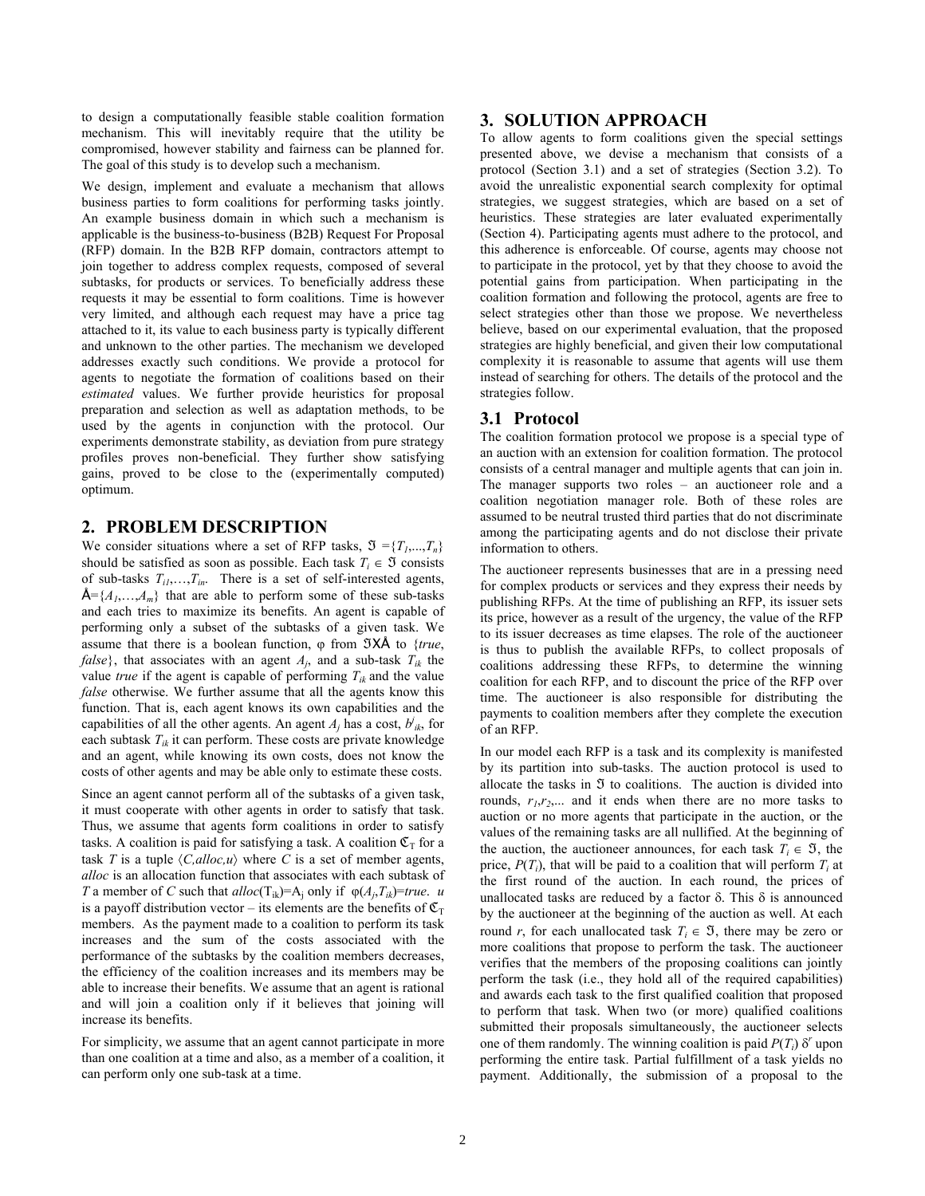to design a computationally feasible stable coalition formation mechanism. This will inevitably require that the utility be compromised, however stability and fairness can be planned for. The goal of this study is to develop such a mechanism.

We design, implement and evaluate a mechanism that allows business parties to form coalitions for performing tasks jointly. An example business domain in which such a mechanism is applicable is the business-to-business (B2B) Request For Proposal (RFP) domain. In the B2B RFP domain, contractors attempt to join together to address complex requests, composed of several subtasks, for products or services. To beneficially address these requests it may be essential to form coalitions. Time is however very limited, and although each request may have a price tag attached to it, its value to each business party is typically different and unknown to the other parties. The mechanism we developed addresses exactly such conditions. We provide a protocol for agents to negotiate the formation of coalitions based on their *estimated* values. We further provide heuristics for proposal preparation and selection as well as adaptation methods, to be used by the agents in conjunction with the protocol. Our experiments demonstrate stability, as deviation from pure strategy profiles proves non-beneficial. They further show satisfying gains, proved to be close to the (experimentally computed) optimum.

#### **2. PROBLEM DESCRIPTION**

We consider situations where a set of RFP tasks,  $\mathfrak{I} = \{T_1, ..., T_n\}$ should be satisfied as soon as possible. Each task  $T_i \in \mathfrak{I}$  consists of sub-tasks *Ti1*,…,*Tin*. There is a set of self-interested agents,  $\mathbf{A} = \{A_1, \ldots, A_m\}$  that are able to perform some of these sub-tasks and each tries to maximize its benefits. An agent is capable of performing only a subset of the subtasks of a given task. We assume that there is a boolean function, φ from ℑXÅ to {*true*, *false*<sup>}</sup>, that associates with an agent  $A_i$ , and a sub-task  $T_{ik}$  the value *true* if the agent is capable of performing  $T_{ik}$  and the value *false* otherwise. We further assume that all the agents know this function. That is, each agent knows its own capabilities and the capabilities of all the other agents. An agent  $A_j$  has a cost,  $b^j_{ik}$ , for each subtask  $T_{ik}$  it can perform. These costs are private knowledge and an agent, while knowing its own costs, does not know the costs of other agents and may be able only to estimate these costs.

Since an agent cannot perform all of the subtasks of a given task, it must cooperate with other agents in order to satisfy that task. Thus, we assume that agents form coalitions in order to satisfy tasks. A coalition is paid for satisfying a task. A coalition  $\mathfrak{C}_{T}$  for a task *T* is a tuple  $\langle C, \text{alloc}, u \rangle$  where *C* is a set of member agents, *alloc* is an allocation function that associates with each subtask of *T* a member of *C* such that  $alloc(T_{ik})=A_i$  only if  $φ(A_i, T_{ik})=true$ . *u* is a payoff distribution vector – its elements are the benefits of  $\mathfrak{C}_{T}$ members. As the payment made to a coalition to perform its task increases and the sum of the costs associated with the performance of the subtasks by the coalition members decreases, the efficiency of the coalition increases and its members may be able to increase their benefits. We assume that an agent is rational and will join a coalition only if it believes that joining will increase its benefits.

For simplicity, we assume that an agent cannot participate in more than one coalition at a time and also, as a member of a coalition, it can perform only one sub-task at a time.

# **3. SOLUTION APPROACH**

To allow agents to form coalitions given the special settings presented above, we devise a mechanism that consists of a protocol (Section 3.1) and a set of strategies (Section 3.2). To avoid the unrealistic exponential search complexity for optimal strategies, we suggest strategies, which are based on a set of heuristics. These strategies are later evaluated experimentally (Section 4). Participating agents must adhere to the protocol, and this adherence is enforceable. Of course, agents may choose not to participate in the protocol, yet by that they choose to avoid the potential gains from participation. When participating in the coalition formation and following the protocol, agents are free to select strategies other than those we propose. We nevertheless believe, based on our experimental evaluation, that the proposed strategies are highly beneficial, and given their low computational complexity it is reasonable to assume that agents will use them instead of searching for others. The details of the protocol and the strategies follow.

#### **3.1 Protocol**

The coalition formation protocol we propose is a special type of an auction with an extension for coalition formation. The protocol consists of a central manager and multiple agents that can join in. The manager supports two roles – an auctioneer role and a coalition negotiation manager role. Both of these roles are assumed to be neutral trusted third parties that do not discriminate among the participating agents and do not disclose their private information to others.

The auctioneer represents businesses that are in a pressing need for complex products or services and they express their needs by publishing RFPs. At the time of publishing an RFP, its issuer sets its price, however as a result of the urgency, the value of the RFP to its issuer decreases as time elapses. The role of the auctioneer is thus to publish the available RFPs, to collect proposals of coalitions addressing these RFPs, to determine the winning coalition for each RFP, and to discount the price of the RFP over time. The auctioneer is also responsible for distributing the payments to coalition members after they complete the execution of an RFP.

In our model each RFP is a task and its complexity is manifested by its partition into sub-tasks. The auction protocol is used to allocate the tasks in  $\mathfrak I$  to coalitions. The auction is divided into rounds,  $r_1, r_2, \ldots$  and it ends when there are no more tasks to auction or no more agents that participate in the auction, or the values of the remaining tasks are all nullified. At the beginning of the auction, the auctioneer announces, for each task  $T_i \in \mathfrak{I}$ , the price,  $P(T_i)$ , that will be paid to a coalition that will perform  $T_i$  at the first round of the auction. In each round, the prices of unallocated tasks are reduced by a factor  $\delta$ . This  $\delta$  is announced by the auctioneer at the beginning of the auction as well. At each round *r*, for each unallocated task  $T_i \in \mathfrak{I}$ , there may be zero or more coalitions that propose to perform the task. The auctioneer verifies that the members of the proposing coalitions can jointly perform the task (i.e., they hold all of the required capabilities) and awards each task to the first qualified coalition that proposed to perform that task. When two (or more) qualified coalitions submitted their proposals simultaneously, the auctioneer selects one of them randomly. The winning coalition is paid  $P(T_i)$   $\delta'$  upon performing the entire task. Partial fulfillment of a task yields no payment. Additionally, the submission of a proposal to the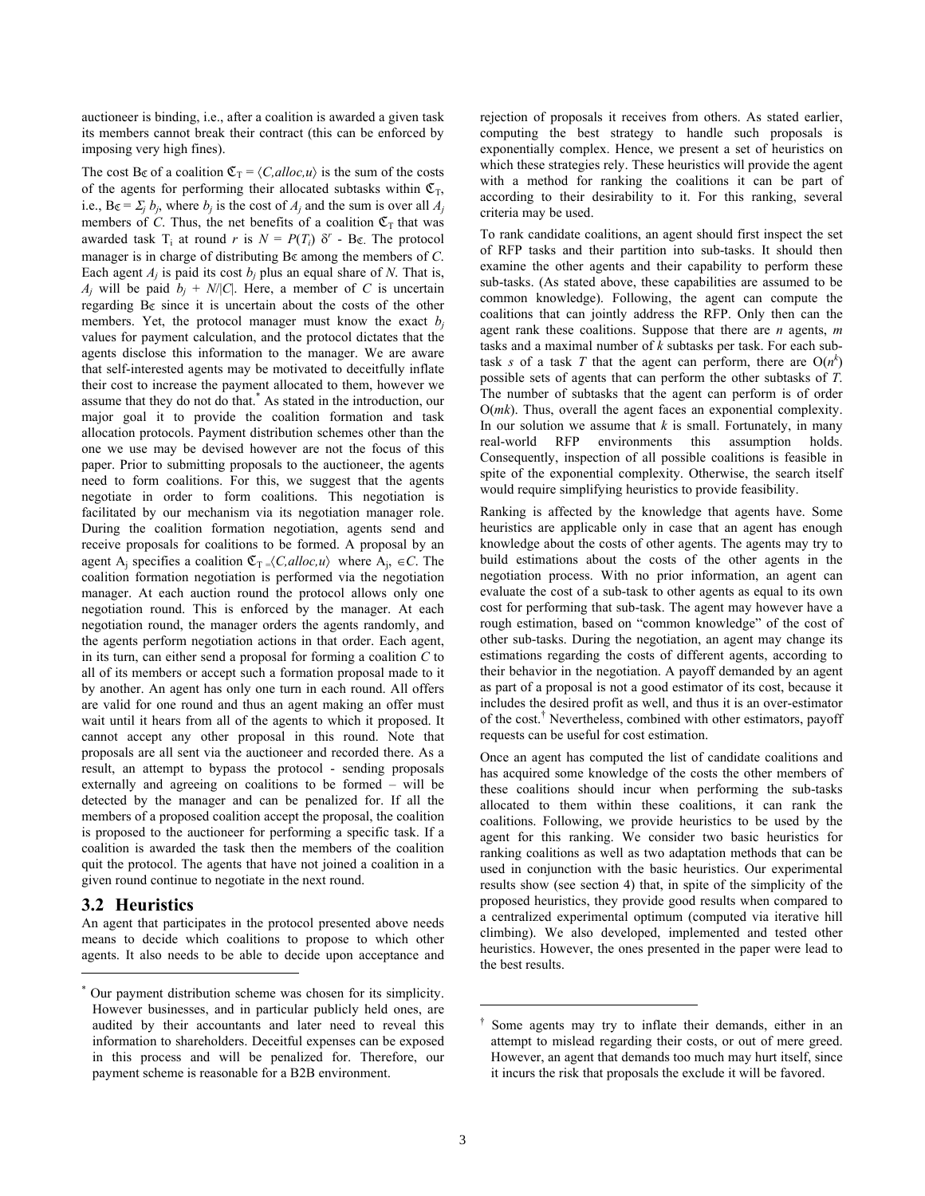auctioneer is binding, i.e., after a coalition is awarded a given task its members cannot break their contract (this can be enforced by imposing very high fines).

The cost B<sub>c</sub> of a coalition  $\mathfrak{C}_{T} = \langle C, \text{alloc}, u \rangle$  is the sum of the costs of the agents for performing their allocated subtasks within  $\mathfrak{C}_T$ , i.e.,  $B\epsilon = \sum_j b_j$ , where  $b_j$  is the cost of  $A_j$  and the sum is over all  $A_j$ members of *C*. Thus, the net benefits of a coalition  $\mathfrak{C}_{\mathsf{T}}$  that was awarded task  $T_i$  at round *r* is  $N = P(T_i) \delta^r$  - Bc. The protocol manager is in charge of distributing  $B_{\mathfrak{C}}$  among the members of *C*. Each agent  $A_i$  is paid its cost  $b_i$  plus an equal share of *N*. That is,  $A_i$  will be paid  $b_i + N/C$ . Here, a member of *C* is uncertain regarding Bε since it is uncertain about the costs of the other members. Yet, the protocol manager must know the exact  $b_i$ values for payment calculation, and the protocol dictates that the agents disclose this information to the manager. We are aware that self-interested agents may be motivated to deceitfully inflate their cost to increase the payment allocated to them, however we assume that they do not do that.\* As stated in the introduction, our major goal it to provide the coalition formation and task allocation protocols. Payment distribution schemes other than the one we use may be devised however are not the focus of this paper. Prior to submitting proposals to the auctioneer, the agents need to form coalitions. For this, we suggest that the agents negotiate in order to form coalitions. This negotiation is facilitated by our mechanism via its negotiation manager role. During the coalition formation negotiation, agents send and receive proposals for coalitions to be formed. A proposal by an agent A<sub>i</sub> specifies a coalition  $\mathfrak{C}_{\mathsf{T}} = \langle C, \text{alloc}, u \rangle$  where A<sub>i</sub>,  $\in C$ . The coalition formation negotiation is performed via the negotiation manager. At each auction round the protocol allows only one negotiation round. This is enforced by the manager. At each negotiation round, the manager orders the agents randomly, and the agents perform negotiation actions in that order. Each agent, in its turn, can either send a proposal for forming a coalition *C* to all of its members or accept such a formation proposal made to it by another. An agent has only one turn in each round. All offers are valid for one round and thus an agent making an offer must wait until it hears from all of the agents to which it proposed. It cannot accept any other proposal in this round. Note that proposals are all sent via the auctioneer and recorded there. As a result, an attempt to bypass the protocol - sending proposals externally and agreeing on coalitions to be formed – will be detected by the manager and can be penalized for. If all the members of a proposed coalition accept the proposal, the coalition is proposed to the auctioneer for performing a specific task. If a coalition is awarded the task then the members of the coalition quit the protocol. The agents that have not joined a coalition in a given round continue to negotiate in the next round.

# **3.2 Heuristics**

 $\overline{a}$ \*

An agent that participates in the protocol presented above needs means to decide which coalitions to propose to which other agents. It also needs to be able to decide upon acceptance and rejection of proposals it receives from others. As stated earlier, computing the best strategy to handle such proposals is exponentially complex. Hence, we present a set of heuristics on which these strategies rely. These heuristics will provide the agent with a method for ranking the coalitions it can be part of according to their desirability to it. For this ranking, several criteria may be used.

To rank candidate coalitions, an agent should first inspect the set of RFP tasks and their partition into sub-tasks. It should then examine the other agents and their capability to perform these sub-tasks. (As stated above, these capabilities are assumed to be common knowledge). Following, the agent can compute the coalitions that can jointly address the RFP. Only then can the agent rank these coalitions. Suppose that there are *n* agents, *m* tasks and a maximal number of *k* subtasks per task. For each subtask *s* of a task *T* that the agent can perform, there are  $O(n^k)$ possible sets of agents that can perform the other subtasks of *T*. The number of subtasks that the agent can perform is of order O(*mk*). Thus, overall the agent faces an exponential complexity. In our solution we assume that  $k$  is small. Fortunately, in many real-world RFP environments this assumption holds. Consequently, inspection of all possible coalitions is feasible in spite of the exponential complexity. Otherwise, the search itself would require simplifying heuristics to provide feasibility.

Ranking is affected by the knowledge that agents have. Some heuristics are applicable only in case that an agent has enough knowledge about the costs of other agents. The agents may try to build estimations about the costs of the other agents in the negotiation process. With no prior information, an agent can evaluate the cost of a sub-task to other agents as equal to its own cost for performing that sub-task. The agent may however have a rough estimation, based on "common knowledge" of the cost of other sub-tasks. During the negotiation, an agent may change its estimations regarding the costs of different agents, according to their behavior in the negotiation. A payoff demanded by an agent as part of a proposal is not a good estimator of its cost, because it includes the desired profit as well, and thus it is an over-estimator of the cost.† Nevertheless, combined with other estimators, payoff requests can be useful for cost estimation.

Once an agent has computed the list of candidate coalitions and has acquired some knowledge of the costs the other members of these coalitions should incur when performing the sub-tasks allocated to them within these coalitions, it can rank the coalitions. Following, we provide heuristics to be used by the agent for this ranking. We consider two basic heuristics for ranking coalitions as well as two adaptation methods that can be used in conjunction with the basic heuristics. Our experimental results show (see section 4) that, in spite of the simplicity of the proposed heuristics, they provide good results when compared to a centralized experimental optimum (computed via iterative hill climbing). We also developed, implemented and tested other heuristics. However, the ones presented in the paper were lead to the best results.

1

Our payment distribution scheme was chosen for its simplicity. However businesses, and in particular publicly held ones, are audited by their accountants and later need to reveal this information to shareholders. Deceitful expenses can be exposed in this process and will be penalized for. Therefore, our payment scheme is reasonable for a B2B environment.

<sup>†</sup> Some agents may try to inflate their demands, either in an attempt to mislead regarding their costs, or out of mere greed. However, an agent that demands too much may hurt itself, since it incurs the risk that proposals the exclude it will be favored.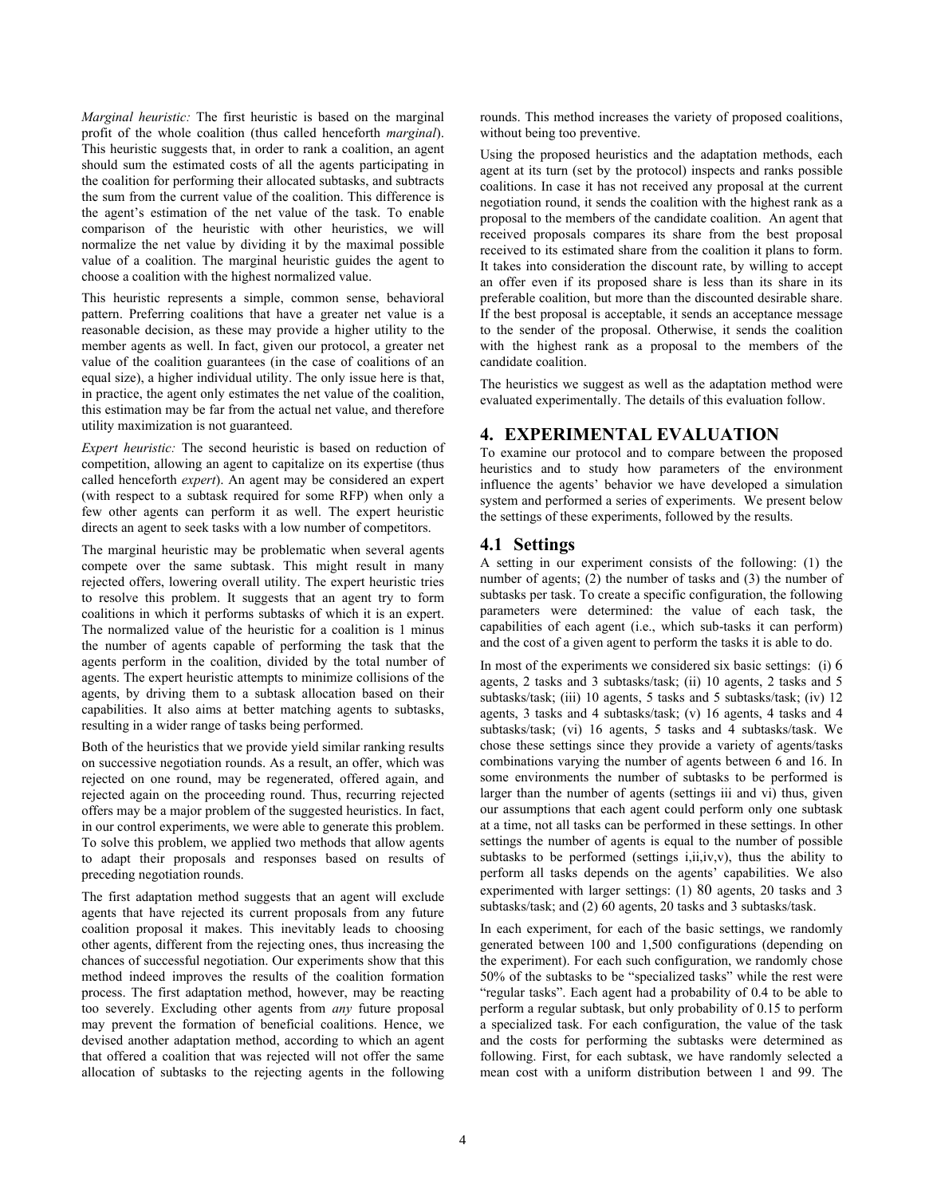*Marginal heuristic:* The first heuristic is based on the marginal profit of the whole coalition (thus called henceforth *marginal*). This heuristic suggests that, in order to rank a coalition, an agent should sum the estimated costs of all the agents participating in the coalition for performing their allocated subtasks, and subtracts the sum from the current value of the coalition. This difference is the agent's estimation of the net value of the task. To enable comparison of the heuristic with other heuristics, we will normalize the net value by dividing it by the maximal possible value of a coalition. The marginal heuristic guides the agent to choose a coalition with the highest normalized value.

This heuristic represents a simple, common sense, behavioral pattern. Preferring coalitions that have a greater net value is a reasonable decision, as these may provide a higher utility to the member agents as well. In fact, given our protocol, a greater net value of the coalition guarantees (in the case of coalitions of an equal size), a higher individual utility. The only issue here is that, in practice, the agent only estimates the net value of the coalition, this estimation may be far from the actual net value, and therefore utility maximization is not guaranteed.

*Expert heuristic:* The second heuristic is based on reduction of competition, allowing an agent to capitalize on its expertise (thus called henceforth *expert*). An agent may be considered an expert (with respect to a subtask required for some RFP) when only a few other agents can perform it as well. The expert heuristic directs an agent to seek tasks with a low number of competitors.

The marginal heuristic may be problematic when several agents compete over the same subtask. This might result in many rejected offers, lowering overall utility. The expert heuristic tries to resolve this problem. It suggests that an agent try to form coalitions in which it performs subtasks of which it is an expert. The normalized value of the heuristic for a coalition is 1 minus the number of agents capable of performing the task that the agents perform in the coalition, divided by the total number of agents. The expert heuristic attempts to minimize collisions of the agents, by driving them to a subtask allocation based on their capabilities. It also aims at better matching agents to subtasks, resulting in a wider range of tasks being performed.

Both of the heuristics that we provide yield similar ranking results on successive negotiation rounds. As a result, an offer, which was rejected on one round, may be regenerated, offered again, and rejected again on the proceeding round. Thus, recurring rejected offers may be a major problem of the suggested heuristics. In fact, in our control experiments, we were able to generate this problem. To solve this problem, we applied two methods that allow agents to adapt their proposals and responses based on results of preceding negotiation rounds.

The first adaptation method suggests that an agent will exclude agents that have rejected its current proposals from any future coalition proposal it makes. This inevitably leads to choosing other agents, different from the rejecting ones, thus increasing the chances of successful negotiation. Our experiments show that this method indeed improves the results of the coalition formation process. The first adaptation method, however, may be reacting too severely. Excluding other agents from *any* future proposal may prevent the formation of beneficial coalitions. Hence, we devised another adaptation method, according to which an agent that offered a coalition that was rejected will not offer the same allocation of subtasks to the rejecting agents in the following

rounds. This method increases the variety of proposed coalitions, without being too preventive.

Using the proposed heuristics and the adaptation methods, each agent at its turn (set by the protocol) inspects and ranks possible coalitions. In case it has not received any proposal at the current negotiation round, it sends the coalition with the highest rank as a proposal to the members of the candidate coalition. An agent that received proposals compares its share from the best proposal received to its estimated share from the coalition it plans to form. It takes into consideration the discount rate, by willing to accept an offer even if its proposed share is less than its share in its preferable coalition, but more than the discounted desirable share. If the best proposal is acceptable, it sends an acceptance message to the sender of the proposal. Otherwise, it sends the coalition with the highest rank as a proposal to the members of the candidate coalition.

The heuristics we suggest as well as the adaptation method were evaluated experimentally. The details of this evaluation follow.

# **4. EXPERIMENTAL EVALUATION**

To examine our protocol and to compare between the proposed heuristics and to study how parameters of the environment influence the agents' behavior we have developed a simulation system and performed a series of experiments. We present below the settings of these experiments, followed by the results.

# **4.1 Settings**

A setting in our experiment consists of the following: (1) the number of agents; (2) the number of tasks and (3) the number of subtasks per task. To create a specific configuration, the following parameters were determined: the value of each task, the capabilities of each agent (i.e., which sub-tasks it can perform) and the cost of a given agent to perform the tasks it is able to do.

In most of the experiments we considered six basic settings: (i) 6 agents, 2 tasks and 3 subtasks/task; (ii) 10 agents, 2 tasks and 5 subtasks/task; (iii) 10 agents, 5 tasks and 5 subtasks/task; (iv) 12 agents, 3 tasks and 4 subtasks/task; (v) 16 agents, 4 tasks and 4 subtasks/task; (vi) 16 agents, 5 tasks and 4 subtasks/task. We chose these settings since they provide a variety of agents/tasks combinations varying the number of agents between 6 and 16. In some environments the number of subtasks to be performed is larger than the number of agents (settings iii and vi) thus, given our assumptions that each agent could perform only one subtask at a time, not all tasks can be performed in these settings. In other settings the number of agents is equal to the number of possible subtasks to be performed (settings  $i$ , $ii$ , $iv$ , $v$ ), thus the ability to perform all tasks depends on the agents' capabilities. We also experimented with larger settings: (1) 80 agents, 20 tasks and 3 subtasks/task; and (2) 60 agents, 20 tasks and 3 subtasks/task.

In each experiment, for each of the basic settings, we randomly generated between 100 and 1,500 configurations (depending on the experiment). For each such configuration, we randomly chose 50% of the subtasks to be "specialized tasks" while the rest were "regular tasks". Each agent had a probability of 0.4 to be able to perform a regular subtask, but only probability of 0.15 to perform a specialized task. For each configuration, the value of the task and the costs for performing the subtasks were determined as following. First, for each subtask, we have randomly selected a mean cost with a uniform distribution between 1 and 99. The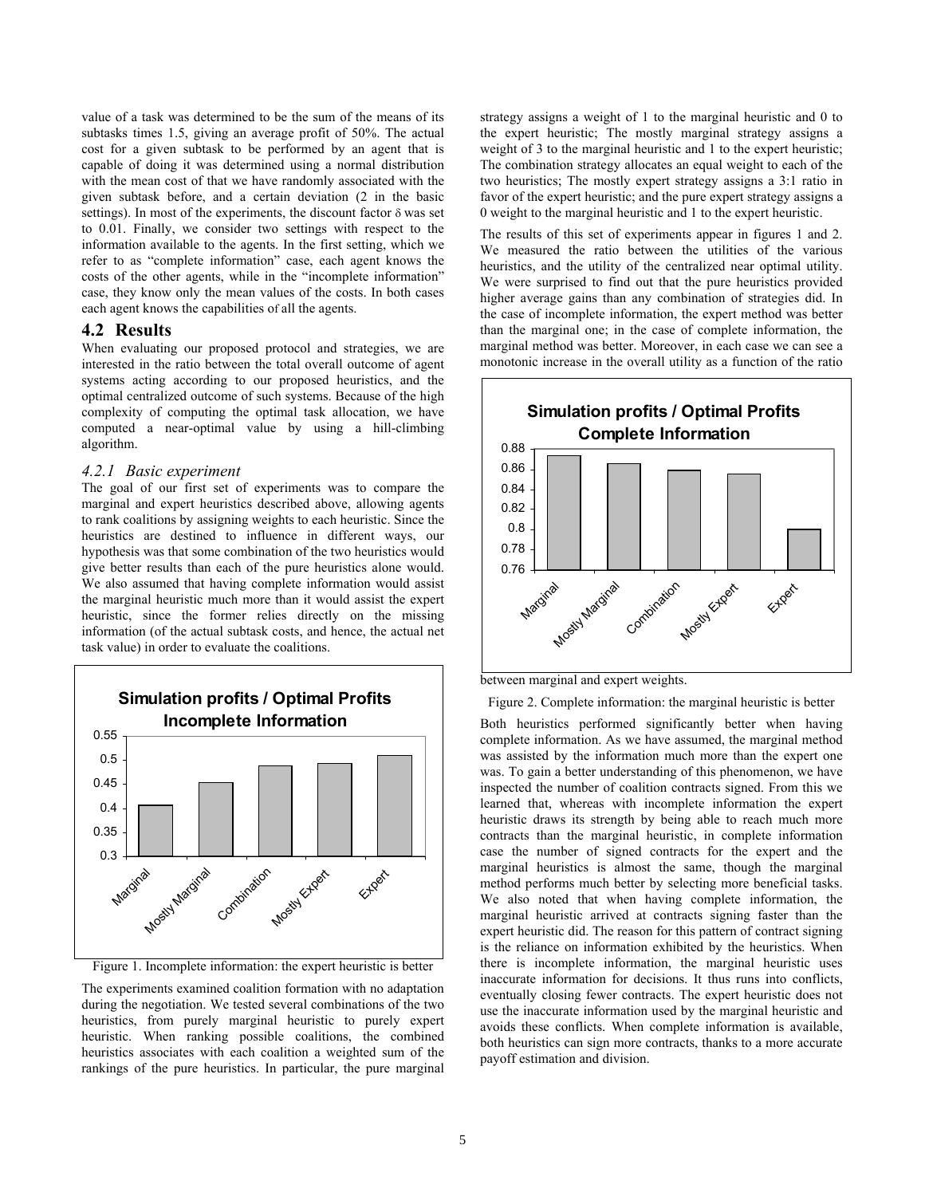value of a task was determined to be the sum of the means of its subtasks times 1.5, giving an average profit of 50%. The actual cost for a given subtask to be performed by an agent that is capable of doing it was determined using a normal distribution with the mean cost of that we have randomly associated with the given subtask before, and a certain deviation (2 in the basic settings). In most of the experiments, the discount factor δ was set to 0.01. Finally, we consider two settings with respect to the information available to the agents. In the first setting, which we refer to as "complete information" case, each agent knows the costs of the other agents, while in the "incomplete information" case, they know only the mean values of the costs. In both cases each agent knows the capabilities of all the agents.

#### **4.2 Results**

When evaluating our proposed protocol and strategies, we are interested in the ratio between the total overall outcome of agent systems acting according to our proposed heuristics, and the optimal centralized outcome of such systems. Because of the high complexity of computing the optimal task allocation, we have computed a near-optimal value by using a hill-climbing algorithm.

#### *4.2.1 Basic experiment*

The goal of our first set of experiments was to compare the marginal and expert heuristics described above, allowing agents to rank coalitions by assigning weights to each heuristic. Since the heuristics are destined to influence in different ways, our hypothesis was that some combination of the two heuristics would give better results than each of the pure heuristics alone would. We also assumed that having complete information would assist the marginal heuristic much more than it would assist the expert heuristic, since the former relies directly on the missing information (of the actual subtask costs, and hence, the actual net task value) in order to evaluate the coalitions.





The experiments examined coalition formation with no adaptation during the negotiation. We tested several combinations of the two heuristics, from purely marginal heuristic to purely expert heuristic. When ranking possible coalitions, the combined heuristics associates with each coalition a weighted sum of the rankings of the pure heuristics. In particular, the pure marginal

strategy assigns a weight of 1 to the marginal heuristic and 0 to the expert heuristic; The mostly marginal strategy assigns a weight of 3 to the marginal heuristic and 1 to the expert heuristic; The combination strategy allocates an equal weight to each of the two heuristics; The mostly expert strategy assigns a 3:1 ratio in favor of the expert heuristic; and the pure expert strategy assigns a 0 weight to the marginal heuristic and 1 to the expert heuristic.

The results of this set of experiments appear in figures 1 and 2. We measured the ratio between the utilities of the various heuristics, and the utility of the centralized near optimal utility. We were surprised to find out that the pure heuristics provided higher average gains than any combination of strategies did. In the case of incomplete information, the expert method was better than the marginal one; in the case of complete information, the marginal method was better. Moreover, in each case we can see a monotonic increase in the overall utility as a function of the ratio



between marginal and expert weights.

Figure 2. Complete information: the marginal heuristic is better

Both heuristics performed significantly better when having complete information. As we have assumed, the marginal method was assisted by the information much more than the expert one was. To gain a better understanding of this phenomenon, we have inspected the number of coalition contracts signed. From this we learned that, whereas with incomplete information the expert heuristic draws its strength by being able to reach much more contracts than the marginal heuristic, in complete information case the number of signed contracts for the expert and the marginal heuristics is almost the same, though the marginal method performs much better by selecting more beneficial tasks. We also noted that when having complete information, the marginal heuristic arrived at contracts signing faster than the expert heuristic did. The reason for this pattern of contract signing is the reliance on information exhibited by the heuristics. When there is incomplete information, the marginal heuristic uses inaccurate information for decisions. It thus runs into conflicts, eventually closing fewer contracts. The expert heuristic does not use the inaccurate information used by the marginal heuristic and avoids these conflicts. When complete information is available, both heuristics can sign more contracts, thanks to a more accurate payoff estimation and division.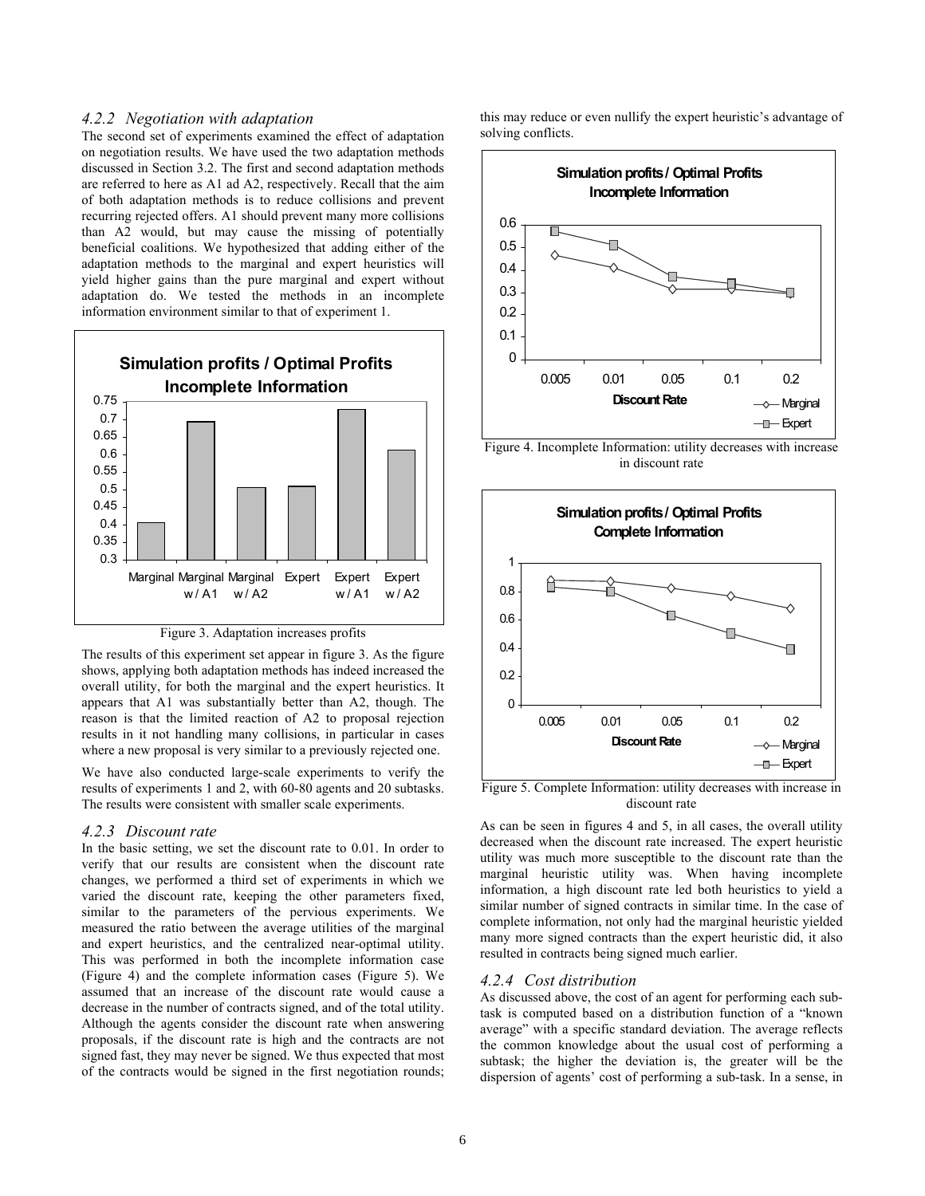#### *4.2.2 Negotiation with adaptation*

The second set of experiments examined the effect of adaptation on negotiation results. We have used the two adaptation methods discussed in Section 3.2. The first and second adaptation methods are referred to here as A1 ad A2, respectively. Recall that the aim of both adaptation methods is to reduce collisions and prevent recurring rejected offers. A1 should prevent many more collisions than A2 would, but may cause the missing of potentially beneficial coalitions. We hypothesized that adding either of the adaptation methods to the marginal and expert heuristics will yield higher gains than the pure marginal and expert without adaptation do. We tested the methods in an incomplete information environment similar to that of experiment 1.



Figure 3. Adaptation increases profits

The results of this experiment set appear in figure 3. As the figure shows, applying both adaptation methods has indeed increased the overall utility, for both the marginal and the expert heuristics. It appears that A1 was substantially better than A2, though. The reason is that the limited reaction of A2 to proposal rejection results in it not handling many collisions, in particular in cases where a new proposal is very similar to a previously rejected one.

We have also conducted large-scale experiments to verify the results of experiments 1 and 2, with 60-80 agents and 20 subtasks. The results were consistent with smaller scale experiments.

#### *4.2.3 Discount rate*

In the basic setting, we set the discount rate to 0.01. In order to verify that our results are consistent when the discount rate changes, we performed a third set of experiments in which we varied the discount rate, keeping the other parameters fixed, similar to the parameters of the pervious experiments. We measured the ratio between the average utilities of the marginal and expert heuristics, and the centralized near-optimal utility. This was performed in both the incomplete information case (Figure 4) and the complete information cases (Figure 5). We assumed that an increase of the discount rate would cause a decrease in the number of contracts signed, and of the total utility. Although the agents consider the discount rate when answering proposals, if the discount rate is high and the contracts are not signed fast, they may never be signed. We thus expected that most of the contracts would be signed in the first negotiation rounds;

this may reduce or even nullify the expert heuristic's advantage of solving conflicts.



Figure 4. Incomplete Information: utility decreases with increase in discount rate



Figure 5. Complete Information: utility decreases with increase in discount rate

As can be seen in figures 4 and 5, in all cases, the overall utility decreased when the discount rate increased. The expert heuristic utility was much more susceptible to the discount rate than the marginal heuristic utility was. When having incomplete information, a high discount rate led both heuristics to yield a similar number of signed contracts in similar time. In the case of complete information, not only had the marginal heuristic yielded many more signed contracts than the expert heuristic did, it also resulted in contracts being signed much earlier.

#### *4.2.4 Cost distribution*

As discussed above, the cost of an agent for performing each subtask is computed based on a distribution function of a "known average" with a specific standard deviation. The average reflects the common knowledge about the usual cost of performing a subtask; the higher the deviation is, the greater will be the dispersion of agents' cost of performing a sub-task. In a sense, in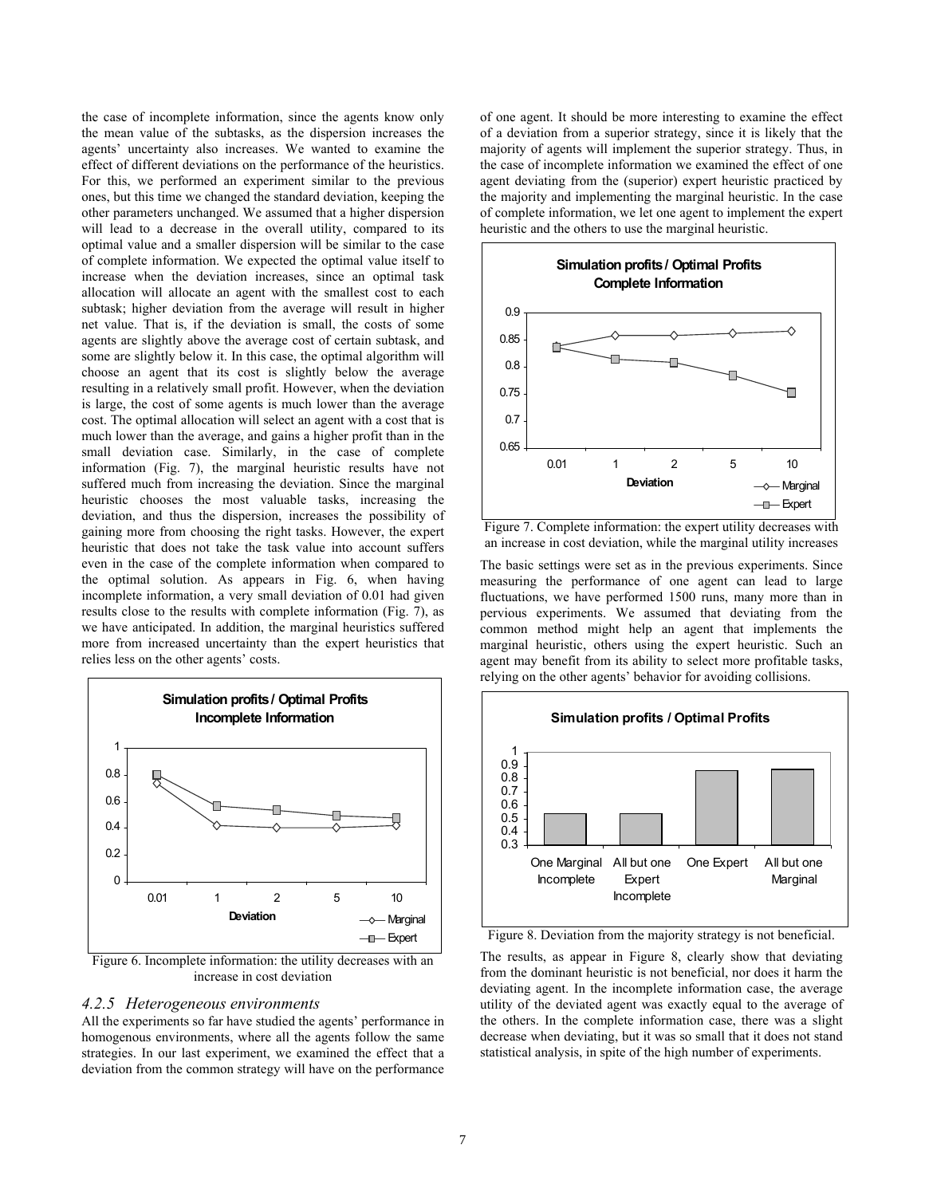the case of incomplete information, since the agents know only the mean value of the subtasks, as the dispersion increases the agents' uncertainty also increases. We wanted to examine the effect of different deviations on the performance of the heuristics. For this, we performed an experiment similar to the previous ones, but this time we changed the standard deviation, keeping the other parameters unchanged. We assumed that a higher dispersion will lead to a decrease in the overall utility, compared to its optimal value and a smaller dispersion will be similar to the case of complete information. We expected the optimal value itself to increase when the deviation increases, since an optimal task allocation will allocate an agent with the smallest cost to each subtask; higher deviation from the average will result in higher net value. That is, if the deviation is small, the costs of some agents are slightly above the average cost of certain subtask, and some are slightly below it. In this case, the optimal algorithm will choose an agent that its cost is slightly below the average resulting in a relatively small profit. However, when the deviation is large, the cost of some agents is much lower than the average cost. The optimal allocation will select an agent with a cost that is much lower than the average, and gains a higher profit than in the small deviation case. Similarly, in the case of complete information (Fig. 7), the marginal heuristic results have not suffered much from increasing the deviation. Since the marginal heuristic chooses the most valuable tasks, increasing the deviation, and thus the dispersion, increases the possibility of gaining more from choosing the right tasks. However, the expert heuristic that does not take the task value into account suffers even in the case of the complete information when compared to the optimal solution. As appears in Fig. 6, when having incomplete information, a very small deviation of 0.01 had given results close to the results with complete information (Fig. 7), as we have anticipated. In addition, the marginal heuristics suffered more from increased uncertainty than the expert heuristics that relies less on the other agents' costs.



Figure 6. Incomplete information: the utility decreases with an increase in cost deviation

#### *4.2.5 Heterogeneous environments*

All the experiments so far have studied the agents' performance in homogenous environments, where all the agents follow the same strategies. In our last experiment, we examined the effect that a deviation from the common strategy will have on the performance

of one agent. It should be more interesting to examine the effect of a deviation from a superior strategy, since it is likely that the majority of agents will implement the superior strategy. Thus, in the case of incomplete information we examined the effect of one agent deviating from the (superior) expert heuristic practiced by the majority and implementing the marginal heuristic. In the case of complete information, we let one agent to implement the expert heuristic and the others to use the marginal heuristic.



Figure 7. Complete information: the expert utility decreases with an increase in cost deviation, while the marginal utility increases

The basic settings were set as in the previous experiments. Since measuring the performance of one agent can lead to large fluctuations, we have performed 1500 runs, many more than in pervious experiments. We assumed that deviating from the common method might help an agent that implements the marginal heuristic, others using the expert heuristic. Such an agent may benefit from its ability to select more profitable tasks, relying on the other agents' behavior for avoiding collisions.



Figure 8. Deviation from the majority strategy is not beneficial.

The results, as appear in Figure 8, clearly show that deviating from the dominant heuristic is not beneficial, nor does it harm the deviating agent. In the incomplete information case, the average utility of the deviated agent was exactly equal to the average of the others. In the complete information case, there was a slight decrease when deviating, but it was so small that it does not stand statistical analysis, in spite of the high number of experiments.